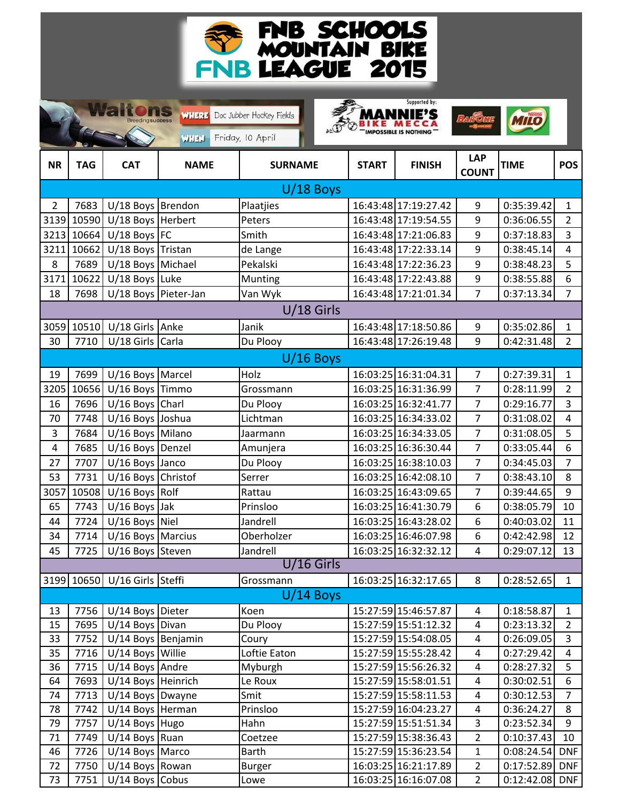

 $\rightarrow$ 

Supported by:

|                |            | <b>Breeding success</b>       | WHERE Doc Jubber Hockey Fields<br><b>WHEN</b> | Friday, 10 April |              |                      |                            |                  |                  |  |
|----------------|------------|-------------------------------|-----------------------------------------------|------------------|--------------|----------------------|----------------------------|------------------|------------------|--|
| <b>NR</b>      | <b>TAG</b> | <b>CAT</b>                    | <b>NAME</b>                                   | <b>SURNAME</b>   | <b>START</b> | <b>FINISH</b>        | <b>LAP</b><br><b>COUNT</b> | <b>TIME</b>      | <b>POS</b>       |  |
|                |            |                               |                                               | $U/18$ Boys      |              |                      |                            |                  |                  |  |
| $\overline{2}$ | 7683       | U/18 Boys Brendon             |                                               | Plaatjies        |              | 16:43:48 17:19:27.42 | 9                          | 0:35:39.42       | $\mathbf{1}$     |  |
| 3139           | 10590      | U/18 Boys Herbert             |                                               | Peters           |              | 16:43:48 17:19:54.55 | 9                          | 0:36:06.55       | $\overline{2}$   |  |
| 3213           | 10664      | $U/18$ Boys FC                |                                               | Smith            |              | 16:43:48 17:21:06.83 | 9                          | 0:37:18.83       | $\overline{3}$   |  |
| 3211           | 10662      | U/18 Boys Tristan             |                                               | de Lange         |              | 16:43:48 17:22:33.14 | 9                          | 0:38:45.14       | $\overline{4}$   |  |
| 8              | 7689       | U/18 Boys Michael             |                                               | Pekalski         |              | 16:43:48 17:22:36.23 | 9                          | 0:38:48.23       | 5                |  |
| 3171           | 10622      | U/18 Boys Luke                |                                               | Munting          |              | 16:43:48 17:22:43.88 | 9                          | 0:38:55.88       | 6                |  |
| 18             | 7698       | U/18 Boys Pieter-Jan          |                                               | Van Wyk          |              | 16:43:48 17:21:01.34 | $\overline{7}$             | 0:37:13.34       | $\overline{7}$   |  |
| $U/18$ Girls   |            |                               |                                               |                  |              |                      |                            |                  |                  |  |
| 3059           | 10510      | $U/18$ Girls                  | Anke                                          | Janik            |              | 16:43:48 17:18:50.86 | 9                          | 0:35:02.86       | $\mathbf{1}$     |  |
| 30             | 7710       | U/18 Girls Carla              |                                               | Du Plooy         |              | 16:43:48 17:26:19.48 | 9                          | 0:42:31.48       | $\overline{2}$   |  |
| $U/16$ Boys    |            |                               |                                               |                  |              |                      |                            |                  |                  |  |
| 19             | 7699       | U/16 Boys Marcel              |                                               | Holz             |              | 16:03:25 16:31:04.31 | $\overline{7}$             | 0:27:39.31       | $\mathbf{1}$     |  |
| 3205           | 10656      | U/16 Boys Timmo               |                                               | Grossmann        |              | 16:03:25 16:31:36.99 | $\overline{7}$             | 0:28:11.99       | $\overline{2}$   |  |
| 16             | 7696       | $U/16$ Boys Charl             |                                               | Du Plooy         |              | 16:03:25 16:32:41.77 | $\overline{7}$             | 0:29:16.77       | $\overline{3}$   |  |
| 70             | 7748       | U/16 Boys Joshua              |                                               | Lichtman         |              | 16:03:25 16:34:33.02 | $\overline{7}$             | 0:31:08.02       | $\overline{4}$   |  |
| 3              | 7684       | U/16 Boys Milano              |                                               | Jaarmann         |              | 16:03:25 16:34:33.05 | $\overline{7}$             | 0:31:08.05       | 5                |  |
| 4              | 7685       | U/16 Boys Denzel              |                                               | Amunjera         |              | 16:03:25 16:36:30.44 | $\overline{7}$             | 0:33:05.44       | $\boldsymbol{6}$ |  |
| 27             | 7707       | U/16 Boys Janco               |                                               | Du Plooy         |              | 16:03:25 16:38:10.03 | $\overline{7}$             | 0:34:45.03       | $\overline{7}$   |  |
| 53             | 7731       | U/16 Boys Christof            |                                               | Serrer           |              | 16:03:25 16:42:08.10 | $\overline{7}$             | 0:38:43.10       | 8                |  |
| 3057           | 10508      | $U/16$ Boys Rolf              |                                               | Rattau           |              | 16:03:25 16:43:09.65 | $\overline{7}$             | 0:39:44.65       | 9                |  |
| 65             | 7743       | $U/16$ Boys Jak               |                                               | Prinsloo         |              | 16:03:25 16:41:30.79 | 6                          | 0:38:05.79       | 10               |  |
| 44             | 7724       | $U/16$ Boys Niel              |                                               | Jandrell         |              | 16:03:25 16:43:28.02 | 6                          | 0:40:03.02       | 11               |  |
| 34             | 7714       | U/16 Boys Marcius             |                                               | Oberholzer       |              | 16:03:25 16:46:07.98 | 6                          | 0:42:42.98       | 12               |  |
| 45             | 7725       | U/16 Boys Steven              |                                               | Jandrell         |              | 16:03:25 16:32:32.12 | 4                          | 0:29:07.12       | 13               |  |
|                |            |                               |                                               | U/16 Girls       |              |                      |                            |                  |                  |  |
|                |            | 3199 10650 U/16 Girls Steffi  |                                               | Grossmann        |              | 16:03:25 16:32:17.65 | 8                          | 0:28:52.65       | $\mathbf{1}$     |  |
|                |            |                               |                                               | $U/14$ Boys      |              |                      |                            |                  |                  |  |
| 13             |            | 7756 U/14 Boys Dieter         |                                               | Koen             |              | 15:27:59 15:46:57.87 | 4                          | 0:18:58.87       | $\mathbf{1}$     |  |
| 15             | 7695       | U/14 Boys Divan               |                                               | Du Plooy         |              | 15:27:59 15:51:12.32 | $\overline{4}$             | 0:23:13.32       | $2^{\circ}$      |  |
| 33             | 7752       | U/14 Boys Benjamin            |                                               | Coury            |              | 15:27:59 15:54:08.05 | 4                          | 0:26:09.05       | 3                |  |
| 35             | 7716       | U/14 Boys Willie              |                                               | Loftie Eaton     |              | 15:27:59 15:55:28.42 | 4                          | 0:27:29.42       | $\overline{4}$   |  |
| 36             | 7715       | U/14 Boys Andre               |                                               | Myburgh          |              | 15:27:59 15:56:26.32 | 4                          | 0:28:27.32       | 5                |  |
| 64             | 7693       | U/14 Boys Heinrich            |                                               | Le Roux          |              | 15:27:59 15:58:01.51 | 4                          | 0:30:02.51       | 6                |  |
| 74             | 7713       | $\overline{U}/14$ Boys Dwayne |                                               | Smit             |              | 15:27:59 15:58:11.53 | 4                          | 0:30:12.53       | $\overline{7}$   |  |
| 78             | 7742       | U/14 Boys Herman              |                                               | Prinsloo         |              | 15:27:59 16:04:23.27 | 4                          | 0:36:24.27       | 8                |  |
| 79             | 7757       | U/14 Boys Hugo                |                                               | Hahn             |              | 15:27:59 15:51:51.34 | 3                          | 0:23:52.34       | 9                |  |
| 71             | 7749       | $U/14$ Boys Ruan              |                                               | Coetzee          |              | 15:27:59 15:38:36.43 | $\overline{2}$             | 0:10:37.43       | 10               |  |
| 46             | 7726       | $U/14$ Boys Marco             |                                               | <b>Barth</b>     |              | 15:27:59 15:36:23.54 | $\mathbf{1}$               | $0:08:24.54$ DNF |                  |  |
| 72             | 7750       | $U/14$ Boys Rowan             |                                               | <b>Burger</b>    |              | 16:03:25 16:21:17.89 | $\mathbf{2}$               | 0:17:52.89       | <b>DNF</b>       |  |
| 73             | 7751       | $U/14$ Boys Cobus             |                                               | Lowe             |              | 16:03:25 16:16:07.08 | $\overline{2}$             | $0:12:42.08$ DNF |                  |  |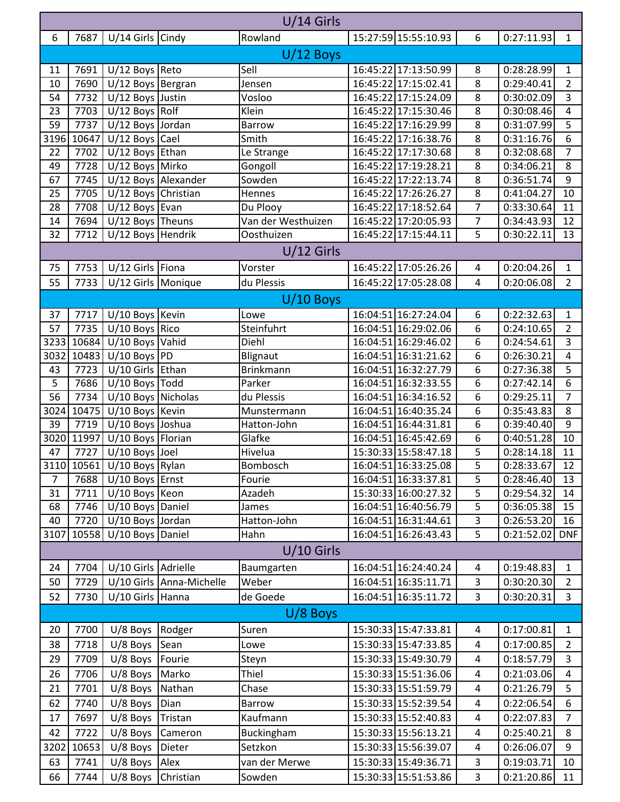| 15:27:59 15:55:10.93<br>6<br>7687<br>U/14 Girls Cindy<br>$\boldsymbol{6}$<br>0:27:11.93<br>Rowland<br>$\mathbf{1}$<br>$U/12$ Boys<br>16:45:22 17:13:50.99<br>Sell<br>0:28:28.99<br>7691<br>$U/12$ Boys Reto<br>11<br>8<br>$\mathbf{1}$<br>8<br>$U/12$ Boys Bergran<br>16:45:22 17:15:02.41<br>$\overline{2}$<br>10<br>7690<br>0:29:40.41<br>Jensen<br>7732<br>U/12 Boys Justin<br>16:45:22 17:15:24.09<br>8<br>3<br>54<br>Vosloo<br>0:30:02.09<br>$U/12$ Boys Rolf<br>23<br>7703<br>Klein<br>16:45:22 17:15:30.46<br>8<br>0:30:08.46<br>$\overline{4}$<br>5<br>59<br>7737<br>U/12 Boys Jordan<br>16:45:22 17:16:29.99<br>8<br>0:31:07.99<br><b>Barrow</b><br>8<br>6<br>10647<br>$U/12$ Boys Cael<br>16:45:22 17:16:38.76<br>3196<br>Smith<br>0:31:16.76<br>U/12 Boys Ethan<br>7702<br>16:45:22 17:17:30.68<br>8<br>0:32:08.68<br>$\overline{7}$<br>22<br>Le Strange<br>8<br>49<br>7728<br>U/12 Boys Mirko<br>Gongoll<br>16:45:22 17:19:28.21<br>8<br>0:34:06.21<br>U/12 Boys Alexander<br>Sowden<br>16:45:22 17:22:13.74<br>8<br>9<br>7745<br>0:36:51.74<br>67<br>8<br>U/12 Boys Christian<br>10<br>25<br>7705<br>16:45:22 17:26:26.27<br>0:41:04.27<br>Hennes<br>$\overline{7}$<br>$U/12$ Boys Evan<br>28<br>7708<br>Du Plooy<br>16:45:22 17:18:52.64<br>0:33:30.64<br>11<br>$\overline{7}$<br>Van der Westhuizen<br>12<br>7694<br>$U/12$ Boys Theuns<br>16:45:22 17:20:05.93<br>0:34:43.93<br>14<br>U/12 Boys Hendrik<br>16:45:22 17:15:44.11<br>5<br>7712<br>13<br>32<br>Oosthuizen<br>0:30:22.11<br>$U/12$ Girls<br>7753<br>U/12 Girls Fiona<br>16:45:22 17:05:26.26<br>0:20:04.26<br>75<br>Vorster<br>$\sqrt{4}$<br>$\mathbf{1}$<br>$\overline{2}$<br>U/12 Girls Monique<br>16:45:22 17:05:28.08<br>55<br>7733<br>du Plessis<br>$\overline{4}$<br>0:20:06.08<br>$U/10$ Boys<br>U/10 Boys Kevin<br>16:04:51 16:27:24.04<br>7717<br>0:22:32.63<br>37<br>6<br>$\mathbf{1}$<br>Lowe<br>57<br>$U/10$ Boys Rico<br>Steinfuhrt<br>6<br>$\overline{2}$<br>7735<br>16:04:51 16:29:02.06<br>0:24:10.65<br>3<br>3233<br>10684<br>U/10 Boys Vahid<br>Diehl<br>16:04:51 16:29:46.02<br>6<br>0:24:54.61<br>$U/10$ Boys PD<br>10483<br>16:04:51 16:31:21.62<br>6<br>3032<br>Blignaut<br>0:26:30.21<br>4<br>U/10 Girls Ethan<br>5<br>6<br>43<br>7723<br><b>Brinkmann</b><br>16:04:51 16:32:27.79<br>0:27:36.38<br>5<br>7686<br>$U/10$ Boys Todd<br>16:04:51 16:32:33.55<br>$\boldsymbol{6}$<br>Parker<br>6<br>0:27:42.14<br>56<br>$\overline{7}$<br>7734<br>U/10 Boys Nicholas<br>du Plessis<br>16:04:51 16:34:16.52<br>6<br>0:29:25.11<br>6<br>10475<br>U/10 Boys Kevin<br>16:04:51 16:40:35.24<br>8<br>3024<br>0:35:43.83<br>Munstermann<br>6<br>9<br>39<br>U/10 Boys Joshua<br>7719<br>16:04:51 16:44:31.81<br>0:39:40.40<br>Hatton-John<br>3020 11997<br>U/10 Boys Florian<br>6<br>Glafke<br>16:04:51 16:45:42.69<br>0:40:51.28<br>10<br>15:30:33 15:58:47.18<br>5<br>7727<br>$U/10$ Boys Joel<br>0:28:14.18<br>11<br>47<br>Hivelua<br>3110 10561 U/10 Boys Rylan<br><b>Bombosch</b><br>$\overline{5}$<br>16:04:51 16:33:25.08<br>0:28:33.67<br>$\overline{12}$<br>5<br>$U/10$ Boys Ernst<br>16:04:51 16:33:37.81<br>$\overline{7}$<br>7688<br>Fourie<br>0:28:46.40<br>13<br>5<br>31<br>7711<br>U/10 Boys Keon<br>Azadeh<br>15:30:33 16:00:27.32<br>0:29:54.32<br>14<br>5<br>7746<br>U/10 Boys Daniel<br>16:04:51 16:40:56.79<br>0:36:05.38<br>15<br>68<br>James<br>3<br>U/10 Boys Jordan<br>Hatton-John<br>16:04:51 16:31:44.61<br>7720<br>0:26:53.20<br>16<br>40<br>5<br>10558<br>U/10 Boys Daniel<br>3107<br>Hahn<br>16:04:51 16:26:43.43<br><b>DNF</b><br>0:21:52.02<br>$U/10$ Girls<br>U/10 Girls Adrielle<br>7704<br>16:04:51 16:24:40.24<br>0:19:48.83<br>Baumgarten<br>24<br>4<br>$\mathbf{1}$<br>3<br>U/10 Girls Anna-Michelle<br>Weber<br>16:04:51 16:35:11.71<br>0:30:20.30<br>50<br>7729<br>$\overline{2}$<br>3<br>52<br>7730<br>U/10 Girls Hanna<br>de Goede<br>16:04:51 16:35:11.72<br>0:30:20.31<br>3<br>$U/8$ Boys<br>7700<br>15:30:33 15:47:33.81<br>0:17:00.81<br>U/8 Boys Rodger<br>4<br>20<br>Suren<br>$\mathbf{1}$<br>15:30:33 15:47:33.85<br>7718<br>$U/8$ Boys<br>Sean<br>4<br>0:17:00.85<br>38<br>Lowe<br>$\overline{2}$<br>3<br>7709<br>$U/8$ Boys<br>Fourie<br>15:30:33 15:49:30.79<br>4<br>0:18:57.79<br>29<br>Steyn<br>$U/8$ Boys<br>Marko<br>Thiel<br>15:30:33 15:51:36.06<br>7706<br>0:21:03.06<br>26<br>4<br>4<br>U/8 Boys Nathan<br>15:30:33 15:51:59.79<br>0:21:26.79<br>5<br>21<br>7701<br>4<br>Chase<br>0:22:06.54<br>62<br>7740<br>$U/8$ Boys<br>Dian<br>15:30:33 15:52:39.54<br>$\overline{\mathbf{4}}$<br>6<br>Barrow<br>7697<br>U/8 Boys Tristan<br>Kaufmann<br>15:30:33 15:52:40.83<br>0:22:07.83<br>17<br>$\pmb{4}$<br>$\overline{7}$<br>$\overline{4}$<br>7722<br>$U/8$ Boys<br>15:30:33 15:56:13.21<br>0:25:40.21<br>8<br>42<br>Cameron<br>Buckingham<br>Setzkon<br>3202<br>10653<br>$U/8$ Boys<br>Dieter<br>15:30:33 15:56:39.07<br>0:26:06.07<br>9<br>4<br>15:30:33 15:49:36.71<br>3<br>63<br>7741<br>$U/8$ Boys<br>Alex<br>van der Merwe<br>0:19:03.71<br>10 | $U/14$ Girls |      |            |           |        |                      |   |            |    |  |  |  |
|-----------------------------------------------------------------------------------------------------------------------------------------------------------------------------------------------------------------------------------------------------------------------------------------------------------------------------------------------------------------------------------------------------------------------------------------------------------------------------------------------------------------------------------------------------------------------------------------------------------------------------------------------------------------------------------------------------------------------------------------------------------------------------------------------------------------------------------------------------------------------------------------------------------------------------------------------------------------------------------------------------------------------------------------------------------------------------------------------------------------------------------------------------------------------------------------------------------------------------------------------------------------------------------------------------------------------------------------------------------------------------------------------------------------------------------------------------------------------------------------------------------------------------------------------------------------------------------------------------------------------------------------------------------------------------------------------------------------------------------------------------------------------------------------------------------------------------------------------------------------------------------------------------------------------------------------------------------------------------------------------------------------------------------------------------------------------------------------------------------------------------------------------------------------------------------------------------------------------------------------------------------------------------------------------------------------------------------------------------------------------------------------------------------------------------------------------------------------------------------------------------------------------------------------------------------------------------------------------------------------------------------------------------------------------------------------------------------------------------------------------------------------------------------------------------------------------------------------------------------------------------------------------------------------------------------------------------------------------------------------------------------------------------------------------------------------------------------------------------------------------------------------------------------------------------------------------------------------------------------------------------------------------------------------------------------------------------------------------------------------------------------------------------------------------------------------------------------------------------------------------------------------------------------------------------------------------------------------------------------------------------------------------------------------------------------------------------------------------------------------------------------------------------------------------------------------------------------------------------------------------------------------------------------------------------------------------------------------------------------------------------------------------------------------------------------------------------------------------------------------------------------------------------------------------------------------------------------------------------------------------------------------------------------------------------------------------------------------------------------------------------------------------------------------------------------------------------------------------------------------------------------------------------------------------------------------------------------------------------------------------------------------------------------------------------------------------------------------------------------------------------------------------------------------------------------------------------------------------------------------------------------------------------------------------------------------------------------------------------------------------------|--------------|------|------------|-----------|--------|----------------------|---|------------|----|--|--|--|
|                                                                                                                                                                                                                                                                                                                                                                                                                                                                                                                                                                                                                                                                                                                                                                                                                                                                                                                                                                                                                                                                                                                                                                                                                                                                                                                                                                                                                                                                                                                                                                                                                                                                                                                                                                                                                                                                                                                                                                                                                                                                                                                                                                                                                                                                                                                                                                                                                                                                                                                                                                                                                                                                                                                                                                                                                                                                                                                                                                                                                                                                                                                                                                                                                                                                                                                                                                                                                                                                                                                                                                                                                                                                                                                                                                                                                                                                                                                                                                                                                                                                                                                                                                                                                                                                                                                                                                                                                                                                                                                                                                                                                                                                                                                                                                                                                                                                                                                                                                                                     |              |      |            |           |        |                      |   |            |    |  |  |  |
|                                                                                                                                                                                                                                                                                                                                                                                                                                                                                                                                                                                                                                                                                                                                                                                                                                                                                                                                                                                                                                                                                                                                                                                                                                                                                                                                                                                                                                                                                                                                                                                                                                                                                                                                                                                                                                                                                                                                                                                                                                                                                                                                                                                                                                                                                                                                                                                                                                                                                                                                                                                                                                                                                                                                                                                                                                                                                                                                                                                                                                                                                                                                                                                                                                                                                                                                                                                                                                                                                                                                                                                                                                                                                                                                                                                                                                                                                                                                                                                                                                                                                                                                                                                                                                                                                                                                                                                                                                                                                                                                                                                                                                                                                                                                                                                                                                                                                                                                                                                                     |              |      |            |           |        |                      |   |            |    |  |  |  |
|                                                                                                                                                                                                                                                                                                                                                                                                                                                                                                                                                                                                                                                                                                                                                                                                                                                                                                                                                                                                                                                                                                                                                                                                                                                                                                                                                                                                                                                                                                                                                                                                                                                                                                                                                                                                                                                                                                                                                                                                                                                                                                                                                                                                                                                                                                                                                                                                                                                                                                                                                                                                                                                                                                                                                                                                                                                                                                                                                                                                                                                                                                                                                                                                                                                                                                                                                                                                                                                                                                                                                                                                                                                                                                                                                                                                                                                                                                                                                                                                                                                                                                                                                                                                                                                                                                                                                                                                                                                                                                                                                                                                                                                                                                                                                                                                                                                                                                                                                                                                     |              |      |            |           |        |                      |   |            |    |  |  |  |
|                                                                                                                                                                                                                                                                                                                                                                                                                                                                                                                                                                                                                                                                                                                                                                                                                                                                                                                                                                                                                                                                                                                                                                                                                                                                                                                                                                                                                                                                                                                                                                                                                                                                                                                                                                                                                                                                                                                                                                                                                                                                                                                                                                                                                                                                                                                                                                                                                                                                                                                                                                                                                                                                                                                                                                                                                                                                                                                                                                                                                                                                                                                                                                                                                                                                                                                                                                                                                                                                                                                                                                                                                                                                                                                                                                                                                                                                                                                                                                                                                                                                                                                                                                                                                                                                                                                                                                                                                                                                                                                                                                                                                                                                                                                                                                                                                                                                                                                                                                                                     |              |      |            |           |        |                      |   |            |    |  |  |  |
|                                                                                                                                                                                                                                                                                                                                                                                                                                                                                                                                                                                                                                                                                                                                                                                                                                                                                                                                                                                                                                                                                                                                                                                                                                                                                                                                                                                                                                                                                                                                                                                                                                                                                                                                                                                                                                                                                                                                                                                                                                                                                                                                                                                                                                                                                                                                                                                                                                                                                                                                                                                                                                                                                                                                                                                                                                                                                                                                                                                                                                                                                                                                                                                                                                                                                                                                                                                                                                                                                                                                                                                                                                                                                                                                                                                                                                                                                                                                                                                                                                                                                                                                                                                                                                                                                                                                                                                                                                                                                                                                                                                                                                                                                                                                                                                                                                                                                                                                                                                                     |              |      |            |           |        |                      |   |            |    |  |  |  |
|                                                                                                                                                                                                                                                                                                                                                                                                                                                                                                                                                                                                                                                                                                                                                                                                                                                                                                                                                                                                                                                                                                                                                                                                                                                                                                                                                                                                                                                                                                                                                                                                                                                                                                                                                                                                                                                                                                                                                                                                                                                                                                                                                                                                                                                                                                                                                                                                                                                                                                                                                                                                                                                                                                                                                                                                                                                                                                                                                                                                                                                                                                                                                                                                                                                                                                                                                                                                                                                                                                                                                                                                                                                                                                                                                                                                                                                                                                                                                                                                                                                                                                                                                                                                                                                                                                                                                                                                                                                                                                                                                                                                                                                                                                                                                                                                                                                                                                                                                                                                     |              |      |            |           |        |                      |   |            |    |  |  |  |
|                                                                                                                                                                                                                                                                                                                                                                                                                                                                                                                                                                                                                                                                                                                                                                                                                                                                                                                                                                                                                                                                                                                                                                                                                                                                                                                                                                                                                                                                                                                                                                                                                                                                                                                                                                                                                                                                                                                                                                                                                                                                                                                                                                                                                                                                                                                                                                                                                                                                                                                                                                                                                                                                                                                                                                                                                                                                                                                                                                                                                                                                                                                                                                                                                                                                                                                                                                                                                                                                                                                                                                                                                                                                                                                                                                                                                                                                                                                                                                                                                                                                                                                                                                                                                                                                                                                                                                                                                                                                                                                                                                                                                                                                                                                                                                                                                                                                                                                                                                                                     |              |      |            |           |        |                      |   |            |    |  |  |  |
|                                                                                                                                                                                                                                                                                                                                                                                                                                                                                                                                                                                                                                                                                                                                                                                                                                                                                                                                                                                                                                                                                                                                                                                                                                                                                                                                                                                                                                                                                                                                                                                                                                                                                                                                                                                                                                                                                                                                                                                                                                                                                                                                                                                                                                                                                                                                                                                                                                                                                                                                                                                                                                                                                                                                                                                                                                                                                                                                                                                                                                                                                                                                                                                                                                                                                                                                                                                                                                                                                                                                                                                                                                                                                                                                                                                                                                                                                                                                                                                                                                                                                                                                                                                                                                                                                                                                                                                                                                                                                                                                                                                                                                                                                                                                                                                                                                                                                                                                                                                                     |              |      |            |           |        |                      |   |            |    |  |  |  |
|                                                                                                                                                                                                                                                                                                                                                                                                                                                                                                                                                                                                                                                                                                                                                                                                                                                                                                                                                                                                                                                                                                                                                                                                                                                                                                                                                                                                                                                                                                                                                                                                                                                                                                                                                                                                                                                                                                                                                                                                                                                                                                                                                                                                                                                                                                                                                                                                                                                                                                                                                                                                                                                                                                                                                                                                                                                                                                                                                                                                                                                                                                                                                                                                                                                                                                                                                                                                                                                                                                                                                                                                                                                                                                                                                                                                                                                                                                                                                                                                                                                                                                                                                                                                                                                                                                                                                                                                                                                                                                                                                                                                                                                                                                                                                                                                                                                                                                                                                                                                     |              |      |            |           |        |                      |   |            |    |  |  |  |
|                                                                                                                                                                                                                                                                                                                                                                                                                                                                                                                                                                                                                                                                                                                                                                                                                                                                                                                                                                                                                                                                                                                                                                                                                                                                                                                                                                                                                                                                                                                                                                                                                                                                                                                                                                                                                                                                                                                                                                                                                                                                                                                                                                                                                                                                                                                                                                                                                                                                                                                                                                                                                                                                                                                                                                                                                                                                                                                                                                                                                                                                                                                                                                                                                                                                                                                                                                                                                                                                                                                                                                                                                                                                                                                                                                                                                                                                                                                                                                                                                                                                                                                                                                                                                                                                                                                                                                                                                                                                                                                                                                                                                                                                                                                                                                                                                                                                                                                                                                                                     |              |      |            |           |        |                      |   |            |    |  |  |  |
|                                                                                                                                                                                                                                                                                                                                                                                                                                                                                                                                                                                                                                                                                                                                                                                                                                                                                                                                                                                                                                                                                                                                                                                                                                                                                                                                                                                                                                                                                                                                                                                                                                                                                                                                                                                                                                                                                                                                                                                                                                                                                                                                                                                                                                                                                                                                                                                                                                                                                                                                                                                                                                                                                                                                                                                                                                                                                                                                                                                                                                                                                                                                                                                                                                                                                                                                                                                                                                                                                                                                                                                                                                                                                                                                                                                                                                                                                                                                                                                                                                                                                                                                                                                                                                                                                                                                                                                                                                                                                                                                                                                                                                                                                                                                                                                                                                                                                                                                                                                                     |              |      |            |           |        |                      |   |            |    |  |  |  |
|                                                                                                                                                                                                                                                                                                                                                                                                                                                                                                                                                                                                                                                                                                                                                                                                                                                                                                                                                                                                                                                                                                                                                                                                                                                                                                                                                                                                                                                                                                                                                                                                                                                                                                                                                                                                                                                                                                                                                                                                                                                                                                                                                                                                                                                                                                                                                                                                                                                                                                                                                                                                                                                                                                                                                                                                                                                                                                                                                                                                                                                                                                                                                                                                                                                                                                                                                                                                                                                                                                                                                                                                                                                                                                                                                                                                                                                                                                                                                                                                                                                                                                                                                                                                                                                                                                                                                                                                                                                                                                                                                                                                                                                                                                                                                                                                                                                                                                                                                                                                     |              |      |            |           |        |                      |   |            |    |  |  |  |
|                                                                                                                                                                                                                                                                                                                                                                                                                                                                                                                                                                                                                                                                                                                                                                                                                                                                                                                                                                                                                                                                                                                                                                                                                                                                                                                                                                                                                                                                                                                                                                                                                                                                                                                                                                                                                                                                                                                                                                                                                                                                                                                                                                                                                                                                                                                                                                                                                                                                                                                                                                                                                                                                                                                                                                                                                                                                                                                                                                                                                                                                                                                                                                                                                                                                                                                                                                                                                                                                                                                                                                                                                                                                                                                                                                                                                                                                                                                                                                                                                                                                                                                                                                                                                                                                                                                                                                                                                                                                                                                                                                                                                                                                                                                                                                                                                                                                                                                                                                                                     |              |      |            |           |        |                      |   |            |    |  |  |  |
|                                                                                                                                                                                                                                                                                                                                                                                                                                                                                                                                                                                                                                                                                                                                                                                                                                                                                                                                                                                                                                                                                                                                                                                                                                                                                                                                                                                                                                                                                                                                                                                                                                                                                                                                                                                                                                                                                                                                                                                                                                                                                                                                                                                                                                                                                                                                                                                                                                                                                                                                                                                                                                                                                                                                                                                                                                                                                                                                                                                                                                                                                                                                                                                                                                                                                                                                                                                                                                                                                                                                                                                                                                                                                                                                                                                                                                                                                                                                                                                                                                                                                                                                                                                                                                                                                                                                                                                                                                                                                                                                                                                                                                                                                                                                                                                                                                                                                                                                                                                                     |              |      |            |           |        |                      |   |            |    |  |  |  |
|                                                                                                                                                                                                                                                                                                                                                                                                                                                                                                                                                                                                                                                                                                                                                                                                                                                                                                                                                                                                                                                                                                                                                                                                                                                                                                                                                                                                                                                                                                                                                                                                                                                                                                                                                                                                                                                                                                                                                                                                                                                                                                                                                                                                                                                                                                                                                                                                                                                                                                                                                                                                                                                                                                                                                                                                                                                                                                                                                                                                                                                                                                                                                                                                                                                                                                                                                                                                                                                                                                                                                                                                                                                                                                                                                                                                                                                                                                                                                                                                                                                                                                                                                                                                                                                                                                                                                                                                                                                                                                                                                                                                                                                                                                                                                                                                                                                                                                                                                                                                     |              |      |            |           |        |                      |   |            |    |  |  |  |
|                                                                                                                                                                                                                                                                                                                                                                                                                                                                                                                                                                                                                                                                                                                                                                                                                                                                                                                                                                                                                                                                                                                                                                                                                                                                                                                                                                                                                                                                                                                                                                                                                                                                                                                                                                                                                                                                                                                                                                                                                                                                                                                                                                                                                                                                                                                                                                                                                                                                                                                                                                                                                                                                                                                                                                                                                                                                                                                                                                                                                                                                                                                                                                                                                                                                                                                                                                                                                                                                                                                                                                                                                                                                                                                                                                                                                                                                                                                                                                                                                                                                                                                                                                                                                                                                                                                                                                                                                                                                                                                                                                                                                                                                                                                                                                                                                                                                                                                                                                                                     |              |      |            |           |        |                      |   |            |    |  |  |  |
|                                                                                                                                                                                                                                                                                                                                                                                                                                                                                                                                                                                                                                                                                                                                                                                                                                                                                                                                                                                                                                                                                                                                                                                                                                                                                                                                                                                                                                                                                                                                                                                                                                                                                                                                                                                                                                                                                                                                                                                                                                                                                                                                                                                                                                                                                                                                                                                                                                                                                                                                                                                                                                                                                                                                                                                                                                                                                                                                                                                                                                                                                                                                                                                                                                                                                                                                                                                                                                                                                                                                                                                                                                                                                                                                                                                                                                                                                                                                                                                                                                                                                                                                                                                                                                                                                                                                                                                                                                                                                                                                                                                                                                                                                                                                                                                                                                                                                                                                                                                                     |              |      |            |           |        |                      |   |            |    |  |  |  |
|                                                                                                                                                                                                                                                                                                                                                                                                                                                                                                                                                                                                                                                                                                                                                                                                                                                                                                                                                                                                                                                                                                                                                                                                                                                                                                                                                                                                                                                                                                                                                                                                                                                                                                                                                                                                                                                                                                                                                                                                                                                                                                                                                                                                                                                                                                                                                                                                                                                                                                                                                                                                                                                                                                                                                                                                                                                                                                                                                                                                                                                                                                                                                                                                                                                                                                                                                                                                                                                                                                                                                                                                                                                                                                                                                                                                                                                                                                                                                                                                                                                                                                                                                                                                                                                                                                                                                                                                                                                                                                                                                                                                                                                                                                                                                                                                                                                                                                                                                                                                     |              |      |            |           |        |                      |   |            |    |  |  |  |
|                                                                                                                                                                                                                                                                                                                                                                                                                                                                                                                                                                                                                                                                                                                                                                                                                                                                                                                                                                                                                                                                                                                                                                                                                                                                                                                                                                                                                                                                                                                                                                                                                                                                                                                                                                                                                                                                                                                                                                                                                                                                                                                                                                                                                                                                                                                                                                                                                                                                                                                                                                                                                                                                                                                                                                                                                                                                                                                                                                                                                                                                                                                                                                                                                                                                                                                                                                                                                                                                                                                                                                                                                                                                                                                                                                                                                                                                                                                                                                                                                                                                                                                                                                                                                                                                                                                                                                                                                                                                                                                                                                                                                                                                                                                                                                                                                                                                                                                                                                                                     |              |      |            |           |        |                      |   |            |    |  |  |  |
|                                                                                                                                                                                                                                                                                                                                                                                                                                                                                                                                                                                                                                                                                                                                                                                                                                                                                                                                                                                                                                                                                                                                                                                                                                                                                                                                                                                                                                                                                                                                                                                                                                                                                                                                                                                                                                                                                                                                                                                                                                                                                                                                                                                                                                                                                                                                                                                                                                                                                                                                                                                                                                                                                                                                                                                                                                                                                                                                                                                                                                                                                                                                                                                                                                                                                                                                                                                                                                                                                                                                                                                                                                                                                                                                                                                                                                                                                                                                                                                                                                                                                                                                                                                                                                                                                                                                                                                                                                                                                                                                                                                                                                                                                                                                                                                                                                                                                                                                                                                                     |              |      |            |           |        |                      |   |            |    |  |  |  |
|                                                                                                                                                                                                                                                                                                                                                                                                                                                                                                                                                                                                                                                                                                                                                                                                                                                                                                                                                                                                                                                                                                                                                                                                                                                                                                                                                                                                                                                                                                                                                                                                                                                                                                                                                                                                                                                                                                                                                                                                                                                                                                                                                                                                                                                                                                                                                                                                                                                                                                                                                                                                                                                                                                                                                                                                                                                                                                                                                                                                                                                                                                                                                                                                                                                                                                                                                                                                                                                                                                                                                                                                                                                                                                                                                                                                                                                                                                                                                                                                                                                                                                                                                                                                                                                                                                                                                                                                                                                                                                                                                                                                                                                                                                                                                                                                                                                                                                                                                                                                     |              |      |            |           |        |                      |   |            |    |  |  |  |
|                                                                                                                                                                                                                                                                                                                                                                                                                                                                                                                                                                                                                                                                                                                                                                                                                                                                                                                                                                                                                                                                                                                                                                                                                                                                                                                                                                                                                                                                                                                                                                                                                                                                                                                                                                                                                                                                                                                                                                                                                                                                                                                                                                                                                                                                                                                                                                                                                                                                                                                                                                                                                                                                                                                                                                                                                                                                                                                                                                                                                                                                                                                                                                                                                                                                                                                                                                                                                                                                                                                                                                                                                                                                                                                                                                                                                                                                                                                                                                                                                                                                                                                                                                                                                                                                                                                                                                                                                                                                                                                                                                                                                                                                                                                                                                                                                                                                                                                                                                                                     |              |      |            |           |        |                      |   |            |    |  |  |  |
|                                                                                                                                                                                                                                                                                                                                                                                                                                                                                                                                                                                                                                                                                                                                                                                                                                                                                                                                                                                                                                                                                                                                                                                                                                                                                                                                                                                                                                                                                                                                                                                                                                                                                                                                                                                                                                                                                                                                                                                                                                                                                                                                                                                                                                                                                                                                                                                                                                                                                                                                                                                                                                                                                                                                                                                                                                                                                                                                                                                                                                                                                                                                                                                                                                                                                                                                                                                                                                                                                                                                                                                                                                                                                                                                                                                                                                                                                                                                                                                                                                                                                                                                                                                                                                                                                                                                                                                                                                                                                                                                                                                                                                                                                                                                                                                                                                                                                                                                                                                                     |              |      |            |           |        |                      |   |            |    |  |  |  |
|                                                                                                                                                                                                                                                                                                                                                                                                                                                                                                                                                                                                                                                                                                                                                                                                                                                                                                                                                                                                                                                                                                                                                                                                                                                                                                                                                                                                                                                                                                                                                                                                                                                                                                                                                                                                                                                                                                                                                                                                                                                                                                                                                                                                                                                                                                                                                                                                                                                                                                                                                                                                                                                                                                                                                                                                                                                                                                                                                                                                                                                                                                                                                                                                                                                                                                                                                                                                                                                                                                                                                                                                                                                                                                                                                                                                                                                                                                                                                                                                                                                                                                                                                                                                                                                                                                                                                                                                                                                                                                                                                                                                                                                                                                                                                                                                                                                                                                                                                                                                     |              |      |            |           |        |                      |   |            |    |  |  |  |
|                                                                                                                                                                                                                                                                                                                                                                                                                                                                                                                                                                                                                                                                                                                                                                                                                                                                                                                                                                                                                                                                                                                                                                                                                                                                                                                                                                                                                                                                                                                                                                                                                                                                                                                                                                                                                                                                                                                                                                                                                                                                                                                                                                                                                                                                                                                                                                                                                                                                                                                                                                                                                                                                                                                                                                                                                                                                                                                                                                                                                                                                                                                                                                                                                                                                                                                                                                                                                                                                                                                                                                                                                                                                                                                                                                                                                                                                                                                                                                                                                                                                                                                                                                                                                                                                                                                                                                                                                                                                                                                                                                                                                                                                                                                                                                                                                                                                                                                                                                                                     |              |      |            |           |        |                      |   |            |    |  |  |  |
|                                                                                                                                                                                                                                                                                                                                                                                                                                                                                                                                                                                                                                                                                                                                                                                                                                                                                                                                                                                                                                                                                                                                                                                                                                                                                                                                                                                                                                                                                                                                                                                                                                                                                                                                                                                                                                                                                                                                                                                                                                                                                                                                                                                                                                                                                                                                                                                                                                                                                                                                                                                                                                                                                                                                                                                                                                                                                                                                                                                                                                                                                                                                                                                                                                                                                                                                                                                                                                                                                                                                                                                                                                                                                                                                                                                                                                                                                                                                                                                                                                                                                                                                                                                                                                                                                                                                                                                                                                                                                                                                                                                                                                                                                                                                                                                                                                                                                                                                                                                                     |              |      |            |           |        |                      |   |            |    |  |  |  |
|                                                                                                                                                                                                                                                                                                                                                                                                                                                                                                                                                                                                                                                                                                                                                                                                                                                                                                                                                                                                                                                                                                                                                                                                                                                                                                                                                                                                                                                                                                                                                                                                                                                                                                                                                                                                                                                                                                                                                                                                                                                                                                                                                                                                                                                                                                                                                                                                                                                                                                                                                                                                                                                                                                                                                                                                                                                                                                                                                                                                                                                                                                                                                                                                                                                                                                                                                                                                                                                                                                                                                                                                                                                                                                                                                                                                                                                                                                                                                                                                                                                                                                                                                                                                                                                                                                                                                                                                                                                                                                                                                                                                                                                                                                                                                                                                                                                                                                                                                                                                     |              |      |            |           |        |                      |   |            |    |  |  |  |
|                                                                                                                                                                                                                                                                                                                                                                                                                                                                                                                                                                                                                                                                                                                                                                                                                                                                                                                                                                                                                                                                                                                                                                                                                                                                                                                                                                                                                                                                                                                                                                                                                                                                                                                                                                                                                                                                                                                                                                                                                                                                                                                                                                                                                                                                                                                                                                                                                                                                                                                                                                                                                                                                                                                                                                                                                                                                                                                                                                                                                                                                                                                                                                                                                                                                                                                                                                                                                                                                                                                                                                                                                                                                                                                                                                                                                                                                                                                                                                                                                                                                                                                                                                                                                                                                                                                                                                                                                                                                                                                                                                                                                                                                                                                                                                                                                                                                                                                                                                                                     |              |      |            |           |        |                      |   |            |    |  |  |  |
|                                                                                                                                                                                                                                                                                                                                                                                                                                                                                                                                                                                                                                                                                                                                                                                                                                                                                                                                                                                                                                                                                                                                                                                                                                                                                                                                                                                                                                                                                                                                                                                                                                                                                                                                                                                                                                                                                                                                                                                                                                                                                                                                                                                                                                                                                                                                                                                                                                                                                                                                                                                                                                                                                                                                                                                                                                                                                                                                                                                                                                                                                                                                                                                                                                                                                                                                                                                                                                                                                                                                                                                                                                                                                                                                                                                                                                                                                                                                                                                                                                                                                                                                                                                                                                                                                                                                                                                                                                                                                                                                                                                                                                                                                                                                                                                                                                                                                                                                                                                                     |              |      |            |           |        |                      |   |            |    |  |  |  |
|                                                                                                                                                                                                                                                                                                                                                                                                                                                                                                                                                                                                                                                                                                                                                                                                                                                                                                                                                                                                                                                                                                                                                                                                                                                                                                                                                                                                                                                                                                                                                                                                                                                                                                                                                                                                                                                                                                                                                                                                                                                                                                                                                                                                                                                                                                                                                                                                                                                                                                                                                                                                                                                                                                                                                                                                                                                                                                                                                                                                                                                                                                                                                                                                                                                                                                                                                                                                                                                                                                                                                                                                                                                                                                                                                                                                                                                                                                                                                                                                                                                                                                                                                                                                                                                                                                                                                                                                                                                                                                                                                                                                                                                                                                                                                                                                                                                                                                                                                                                                     |              |      |            |           |        |                      |   |            |    |  |  |  |
|                                                                                                                                                                                                                                                                                                                                                                                                                                                                                                                                                                                                                                                                                                                                                                                                                                                                                                                                                                                                                                                                                                                                                                                                                                                                                                                                                                                                                                                                                                                                                                                                                                                                                                                                                                                                                                                                                                                                                                                                                                                                                                                                                                                                                                                                                                                                                                                                                                                                                                                                                                                                                                                                                                                                                                                                                                                                                                                                                                                                                                                                                                                                                                                                                                                                                                                                                                                                                                                                                                                                                                                                                                                                                                                                                                                                                                                                                                                                                                                                                                                                                                                                                                                                                                                                                                                                                                                                                                                                                                                                                                                                                                                                                                                                                                                                                                                                                                                                                                                                     |              |      |            |           |        |                      |   |            |    |  |  |  |
|                                                                                                                                                                                                                                                                                                                                                                                                                                                                                                                                                                                                                                                                                                                                                                                                                                                                                                                                                                                                                                                                                                                                                                                                                                                                                                                                                                                                                                                                                                                                                                                                                                                                                                                                                                                                                                                                                                                                                                                                                                                                                                                                                                                                                                                                                                                                                                                                                                                                                                                                                                                                                                                                                                                                                                                                                                                                                                                                                                                                                                                                                                                                                                                                                                                                                                                                                                                                                                                                                                                                                                                                                                                                                                                                                                                                                                                                                                                                                                                                                                                                                                                                                                                                                                                                                                                                                                                                                                                                                                                                                                                                                                                                                                                                                                                                                                                                                                                                                                                                     |              |      |            |           |        |                      |   |            |    |  |  |  |
|                                                                                                                                                                                                                                                                                                                                                                                                                                                                                                                                                                                                                                                                                                                                                                                                                                                                                                                                                                                                                                                                                                                                                                                                                                                                                                                                                                                                                                                                                                                                                                                                                                                                                                                                                                                                                                                                                                                                                                                                                                                                                                                                                                                                                                                                                                                                                                                                                                                                                                                                                                                                                                                                                                                                                                                                                                                                                                                                                                                                                                                                                                                                                                                                                                                                                                                                                                                                                                                                                                                                                                                                                                                                                                                                                                                                                                                                                                                                                                                                                                                                                                                                                                                                                                                                                                                                                                                                                                                                                                                                                                                                                                                                                                                                                                                                                                                                                                                                                                                                     |              |      |            |           |        |                      |   |            |    |  |  |  |
|                                                                                                                                                                                                                                                                                                                                                                                                                                                                                                                                                                                                                                                                                                                                                                                                                                                                                                                                                                                                                                                                                                                                                                                                                                                                                                                                                                                                                                                                                                                                                                                                                                                                                                                                                                                                                                                                                                                                                                                                                                                                                                                                                                                                                                                                                                                                                                                                                                                                                                                                                                                                                                                                                                                                                                                                                                                                                                                                                                                                                                                                                                                                                                                                                                                                                                                                                                                                                                                                                                                                                                                                                                                                                                                                                                                                                                                                                                                                                                                                                                                                                                                                                                                                                                                                                                                                                                                                                                                                                                                                                                                                                                                                                                                                                                                                                                                                                                                                                                                                     |              |      |            |           |        |                      |   |            |    |  |  |  |
|                                                                                                                                                                                                                                                                                                                                                                                                                                                                                                                                                                                                                                                                                                                                                                                                                                                                                                                                                                                                                                                                                                                                                                                                                                                                                                                                                                                                                                                                                                                                                                                                                                                                                                                                                                                                                                                                                                                                                                                                                                                                                                                                                                                                                                                                                                                                                                                                                                                                                                                                                                                                                                                                                                                                                                                                                                                                                                                                                                                                                                                                                                                                                                                                                                                                                                                                                                                                                                                                                                                                                                                                                                                                                                                                                                                                                                                                                                                                                                                                                                                                                                                                                                                                                                                                                                                                                                                                                                                                                                                                                                                                                                                                                                                                                                                                                                                                                                                                                                                                     |              |      |            |           |        |                      |   |            |    |  |  |  |
|                                                                                                                                                                                                                                                                                                                                                                                                                                                                                                                                                                                                                                                                                                                                                                                                                                                                                                                                                                                                                                                                                                                                                                                                                                                                                                                                                                                                                                                                                                                                                                                                                                                                                                                                                                                                                                                                                                                                                                                                                                                                                                                                                                                                                                                                                                                                                                                                                                                                                                                                                                                                                                                                                                                                                                                                                                                                                                                                                                                                                                                                                                                                                                                                                                                                                                                                                                                                                                                                                                                                                                                                                                                                                                                                                                                                                                                                                                                                                                                                                                                                                                                                                                                                                                                                                                                                                                                                                                                                                                                                                                                                                                                                                                                                                                                                                                                                                                                                                                                                     |              |      |            |           |        |                      |   |            |    |  |  |  |
|                                                                                                                                                                                                                                                                                                                                                                                                                                                                                                                                                                                                                                                                                                                                                                                                                                                                                                                                                                                                                                                                                                                                                                                                                                                                                                                                                                                                                                                                                                                                                                                                                                                                                                                                                                                                                                                                                                                                                                                                                                                                                                                                                                                                                                                                                                                                                                                                                                                                                                                                                                                                                                                                                                                                                                                                                                                                                                                                                                                                                                                                                                                                                                                                                                                                                                                                                                                                                                                                                                                                                                                                                                                                                                                                                                                                                                                                                                                                                                                                                                                                                                                                                                                                                                                                                                                                                                                                                                                                                                                                                                                                                                                                                                                                                                                                                                                                                                                                                                                                     |              |      |            |           |        |                      |   |            |    |  |  |  |
|                                                                                                                                                                                                                                                                                                                                                                                                                                                                                                                                                                                                                                                                                                                                                                                                                                                                                                                                                                                                                                                                                                                                                                                                                                                                                                                                                                                                                                                                                                                                                                                                                                                                                                                                                                                                                                                                                                                                                                                                                                                                                                                                                                                                                                                                                                                                                                                                                                                                                                                                                                                                                                                                                                                                                                                                                                                                                                                                                                                                                                                                                                                                                                                                                                                                                                                                                                                                                                                                                                                                                                                                                                                                                                                                                                                                                                                                                                                                                                                                                                                                                                                                                                                                                                                                                                                                                                                                                                                                                                                                                                                                                                                                                                                                                                                                                                                                                                                                                                                                     |              |      |            |           |        |                      |   |            |    |  |  |  |
|                                                                                                                                                                                                                                                                                                                                                                                                                                                                                                                                                                                                                                                                                                                                                                                                                                                                                                                                                                                                                                                                                                                                                                                                                                                                                                                                                                                                                                                                                                                                                                                                                                                                                                                                                                                                                                                                                                                                                                                                                                                                                                                                                                                                                                                                                                                                                                                                                                                                                                                                                                                                                                                                                                                                                                                                                                                                                                                                                                                                                                                                                                                                                                                                                                                                                                                                                                                                                                                                                                                                                                                                                                                                                                                                                                                                                                                                                                                                                                                                                                                                                                                                                                                                                                                                                                                                                                                                                                                                                                                                                                                                                                                                                                                                                                                                                                                                                                                                                                                                     |              |      |            |           |        |                      |   |            |    |  |  |  |
|                                                                                                                                                                                                                                                                                                                                                                                                                                                                                                                                                                                                                                                                                                                                                                                                                                                                                                                                                                                                                                                                                                                                                                                                                                                                                                                                                                                                                                                                                                                                                                                                                                                                                                                                                                                                                                                                                                                                                                                                                                                                                                                                                                                                                                                                                                                                                                                                                                                                                                                                                                                                                                                                                                                                                                                                                                                                                                                                                                                                                                                                                                                                                                                                                                                                                                                                                                                                                                                                                                                                                                                                                                                                                                                                                                                                                                                                                                                                                                                                                                                                                                                                                                                                                                                                                                                                                                                                                                                                                                                                                                                                                                                                                                                                                                                                                                                                                                                                                                                                     |              |      |            |           |        |                      |   |            |    |  |  |  |
|                                                                                                                                                                                                                                                                                                                                                                                                                                                                                                                                                                                                                                                                                                                                                                                                                                                                                                                                                                                                                                                                                                                                                                                                                                                                                                                                                                                                                                                                                                                                                                                                                                                                                                                                                                                                                                                                                                                                                                                                                                                                                                                                                                                                                                                                                                                                                                                                                                                                                                                                                                                                                                                                                                                                                                                                                                                                                                                                                                                                                                                                                                                                                                                                                                                                                                                                                                                                                                                                                                                                                                                                                                                                                                                                                                                                                                                                                                                                                                                                                                                                                                                                                                                                                                                                                                                                                                                                                                                                                                                                                                                                                                                                                                                                                                                                                                                                                                                                                                                                     |              |      |            |           |        |                      |   |            |    |  |  |  |
|                                                                                                                                                                                                                                                                                                                                                                                                                                                                                                                                                                                                                                                                                                                                                                                                                                                                                                                                                                                                                                                                                                                                                                                                                                                                                                                                                                                                                                                                                                                                                                                                                                                                                                                                                                                                                                                                                                                                                                                                                                                                                                                                                                                                                                                                                                                                                                                                                                                                                                                                                                                                                                                                                                                                                                                                                                                                                                                                                                                                                                                                                                                                                                                                                                                                                                                                                                                                                                                                                                                                                                                                                                                                                                                                                                                                                                                                                                                                                                                                                                                                                                                                                                                                                                                                                                                                                                                                                                                                                                                                                                                                                                                                                                                                                                                                                                                                                                                                                                                                     |              |      |            |           |        |                      |   |            |    |  |  |  |
|                                                                                                                                                                                                                                                                                                                                                                                                                                                                                                                                                                                                                                                                                                                                                                                                                                                                                                                                                                                                                                                                                                                                                                                                                                                                                                                                                                                                                                                                                                                                                                                                                                                                                                                                                                                                                                                                                                                                                                                                                                                                                                                                                                                                                                                                                                                                                                                                                                                                                                                                                                                                                                                                                                                                                                                                                                                                                                                                                                                                                                                                                                                                                                                                                                                                                                                                                                                                                                                                                                                                                                                                                                                                                                                                                                                                                                                                                                                                                                                                                                                                                                                                                                                                                                                                                                                                                                                                                                                                                                                                                                                                                                                                                                                                                                                                                                                                                                                                                                                                     |              |      |            |           |        |                      |   |            |    |  |  |  |
|                                                                                                                                                                                                                                                                                                                                                                                                                                                                                                                                                                                                                                                                                                                                                                                                                                                                                                                                                                                                                                                                                                                                                                                                                                                                                                                                                                                                                                                                                                                                                                                                                                                                                                                                                                                                                                                                                                                                                                                                                                                                                                                                                                                                                                                                                                                                                                                                                                                                                                                                                                                                                                                                                                                                                                                                                                                                                                                                                                                                                                                                                                                                                                                                                                                                                                                                                                                                                                                                                                                                                                                                                                                                                                                                                                                                                                                                                                                                                                                                                                                                                                                                                                                                                                                                                                                                                                                                                                                                                                                                                                                                                                                                                                                                                                                                                                                                                                                                                                                                     |              |      |            |           |        |                      |   |            |    |  |  |  |
|                                                                                                                                                                                                                                                                                                                                                                                                                                                                                                                                                                                                                                                                                                                                                                                                                                                                                                                                                                                                                                                                                                                                                                                                                                                                                                                                                                                                                                                                                                                                                                                                                                                                                                                                                                                                                                                                                                                                                                                                                                                                                                                                                                                                                                                                                                                                                                                                                                                                                                                                                                                                                                                                                                                                                                                                                                                                                                                                                                                                                                                                                                                                                                                                                                                                                                                                                                                                                                                                                                                                                                                                                                                                                                                                                                                                                                                                                                                                                                                                                                                                                                                                                                                                                                                                                                                                                                                                                                                                                                                                                                                                                                                                                                                                                                                                                                                                                                                                                                                                     |              |      |            |           |        |                      |   |            |    |  |  |  |
|                                                                                                                                                                                                                                                                                                                                                                                                                                                                                                                                                                                                                                                                                                                                                                                                                                                                                                                                                                                                                                                                                                                                                                                                                                                                                                                                                                                                                                                                                                                                                                                                                                                                                                                                                                                                                                                                                                                                                                                                                                                                                                                                                                                                                                                                                                                                                                                                                                                                                                                                                                                                                                                                                                                                                                                                                                                                                                                                                                                                                                                                                                                                                                                                                                                                                                                                                                                                                                                                                                                                                                                                                                                                                                                                                                                                                                                                                                                                                                                                                                                                                                                                                                                                                                                                                                                                                                                                                                                                                                                                                                                                                                                                                                                                                                                                                                                                                                                                                                                                     |              |      |            |           |        |                      |   |            |    |  |  |  |
|                                                                                                                                                                                                                                                                                                                                                                                                                                                                                                                                                                                                                                                                                                                                                                                                                                                                                                                                                                                                                                                                                                                                                                                                                                                                                                                                                                                                                                                                                                                                                                                                                                                                                                                                                                                                                                                                                                                                                                                                                                                                                                                                                                                                                                                                                                                                                                                                                                                                                                                                                                                                                                                                                                                                                                                                                                                                                                                                                                                                                                                                                                                                                                                                                                                                                                                                                                                                                                                                                                                                                                                                                                                                                                                                                                                                                                                                                                                                                                                                                                                                                                                                                                                                                                                                                                                                                                                                                                                                                                                                                                                                                                                                                                                                                                                                                                                                                                                                                                                                     |              |      |            |           |        |                      |   |            |    |  |  |  |
|                                                                                                                                                                                                                                                                                                                                                                                                                                                                                                                                                                                                                                                                                                                                                                                                                                                                                                                                                                                                                                                                                                                                                                                                                                                                                                                                                                                                                                                                                                                                                                                                                                                                                                                                                                                                                                                                                                                                                                                                                                                                                                                                                                                                                                                                                                                                                                                                                                                                                                                                                                                                                                                                                                                                                                                                                                                                                                                                                                                                                                                                                                                                                                                                                                                                                                                                                                                                                                                                                                                                                                                                                                                                                                                                                                                                                                                                                                                                                                                                                                                                                                                                                                                                                                                                                                                                                                                                                                                                                                                                                                                                                                                                                                                                                                                                                                                                                                                                                                                                     |              |      |            |           |        |                      |   |            |    |  |  |  |
|                                                                                                                                                                                                                                                                                                                                                                                                                                                                                                                                                                                                                                                                                                                                                                                                                                                                                                                                                                                                                                                                                                                                                                                                                                                                                                                                                                                                                                                                                                                                                                                                                                                                                                                                                                                                                                                                                                                                                                                                                                                                                                                                                                                                                                                                                                                                                                                                                                                                                                                                                                                                                                                                                                                                                                                                                                                                                                                                                                                                                                                                                                                                                                                                                                                                                                                                                                                                                                                                                                                                                                                                                                                                                                                                                                                                                                                                                                                                                                                                                                                                                                                                                                                                                                                                                                                                                                                                                                                                                                                                                                                                                                                                                                                                                                                                                                                                                                                                                                                                     |              |      |            |           |        |                      |   |            |    |  |  |  |
|                                                                                                                                                                                                                                                                                                                                                                                                                                                                                                                                                                                                                                                                                                                                                                                                                                                                                                                                                                                                                                                                                                                                                                                                                                                                                                                                                                                                                                                                                                                                                                                                                                                                                                                                                                                                                                                                                                                                                                                                                                                                                                                                                                                                                                                                                                                                                                                                                                                                                                                                                                                                                                                                                                                                                                                                                                                                                                                                                                                                                                                                                                                                                                                                                                                                                                                                                                                                                                                                                                                                                                                                                                                                                                                                                                                                                                                                                                                                                                                                                                                                                                                                                                                                                                                                                                                                                                                                                                                                                                                                                                                                                                                                                                                                                                                                                                                                                                                                                                                                     |              |      |            |           |        |                      |   |            |    |  |  |  |
|                                                                                                                                                                                                                                                                                                                                                                                                                                                                                                                                                                                                                                                                                                                                                                                                                                                                                                                                                                                                                                                                                                                                                                                                                                                                                                                                                                                                                                                                                                                                                                                                                                                                                                                                                                                                                                                                                                                                                                                                                                                                                                                                                                                                                                                                                                                                                                                                                                                                                                                                                                                                                                                                                                                                                                                                                                                                                                                                                                                                                                                                                                                                                                                                                                                                                                                                                                                                                                                                                                                                                                                                                                                                                                                                                                                                                                                                                                                                                                                                                                                                                                                                                                                                                                                                                                                                                                                                                                                                                                                                                                                                                                                                                                                                                                                                                                                                                                                                                                                                     |              |      |            |           |        |                      |   |            |    |  |  |  |
|                                                                                                                                                                                                                                                                                                                                                                                                                                                                                                                                                                                                                                                                                                                                                                                                                                                                                                                                                                                                                                                                                                                                                                                                                                                                                                                                                                                                                                                                                                                                                                                                                                                                                                                                                                                                                                                                                                                                                                                                                                                                                                                                                                                                                                                                                                                                                                                                                                                                                                                                                                                                                                                                                                                                                                                                                                                                                                                                                                                                                                                                                                                                                                                                                                                                                                                                                                                                                                                                                                                                                                                                                                                                                                                                                                                                                                                                                                                                                                                                                                                                                                                                                                                                                                                                                                                                                                                                                                                                                                                                                                                                                                                                                                                                                                                                                                                                                                                                                                                                     | 66           | 7744 | $U/8$ Boys | Christian | Sowden | 15:30:33 15:51:53.86 | 3 | 0:21:20.86 | 11 |  |  |  |